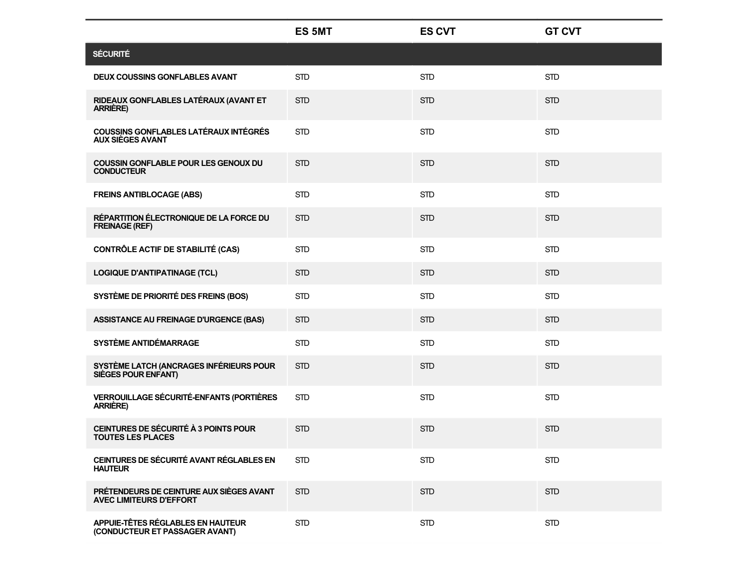|                                                                            | <b>ES 5MT</b> | <b>ES CVT</b> | <b>GT CVT</b> |
|----------------------------------------------------------------------------|---------------|---------------|---------------|
| <b>SÉCURITÉ</b>                                                            |               |               |               |
| <b>DEUX COUSSINS GONFLABLES AVANT</b>                                      | <b>STD</b>    | <b>STD</b>    | <b>STD</b>    |
| RIDEAUX GONFLABLES LATÉRAUX (AVANT ET<br><b>ARRIÈRE)</b>                   | <b>STD</b>    | <b>STD</b>    | <b>STD</b>    |
| COUSSINS GONFLABLES LATÉRAUX INTÉGRÉS<br><b>AUX SIÈGES AVANT</b>           | <b>STD</b>    | <b>STD</b>    | <b>STD</b>    |
| <b>COUSSIN GONFLABLE POUR LES GENOUX DU</b><br><b>CONDUCTEUR</b>           | <b>STD</b>    | <b>STD</b>    | <b>STD</b>    |
| <b>FREINS ANTIBLOCAGE (ABS)</b>                                            | <b>STD</b>    | <b>STD</b>    | <b>STD</b>    |
| RÉPARTITION ÉLECTRONIQUE DE LA FORCE DU<br><b>FREINAGE (REF)</b>           | <b>STD</b>    | <b>STD</b>    | <b>STD</b>    |
| <b>CONTRÔLE ACTIF DE STABILITÉ (CAS)</b>                                   | <b>STD</b>    | <b>STD</b>    | <b>STD</b>    |
| <b>LOGIQUE D'ANTIPATINAGE (TCL)</b>                                        | <b>STD</b>    | <b>STD</b>    | <b>STD</b>    |
| SYSTÈME DE PRIORITÉ DES FREINS (BOS)                                       | <b>STD</b>    | <b>STD</b>    | <b>STD</b>    |
| <b>ASSISTANCE AU FREINAGE D'URGENCE (BAS)</b>                              | <b>STD</b>    | <b>STD</b>    | <b>STD</b>    |
| SYSTÈME ANTIDÉMARRAGE                                                      | <b>STD</b>    | <b>STD</b>    | <b>STD</b>    |
| SYSTÈME LATCH (ANCRAGES INFÉRIEURS POUR<br>SIÈGES POUR ENFANT)             | <b>STD</b>    | <b>STD</b>    | <b>STD</b>    |
| <b>VERROUILLAGE SÉCURITÉ-ENFANTS (PORTIÈRES</b><br><b>ARRIÈRE)</b>         | <b>STD</b>    | <b>STD</b>    | <b>STD</b>    |
| CEINTURES DE SÉCURITÉ À 3 POINTS POUR<br><b>TOUTES LES PLACES</b>          | <b>STD</b>    | <b>STD</b>    | <b>STD</b>    |
| CEINTURES DE SÉCURITÉ AVANT RÉGLABLES EN<br><b>HAUTEUR</b>                 | <b>STD</b>    | <b>STD</b>    | <b>STD</b>    |
| PRÉTENDEURS DE CEINTURE AUX SIÈGES AVANT<br><b>AVEC LIMITEURS D'EFFORT</b> | <b>STD</b>    | <b>STD</b>    | <b>STD</b>    |
| APPUIE-TÊTES RÉGLABLES EN HAUTEUR<br>(CONDUCTEUR ET PASSAGER AVANT)        | <b>STD</b>    | <b>STD</b>    | <b>STD</b>    |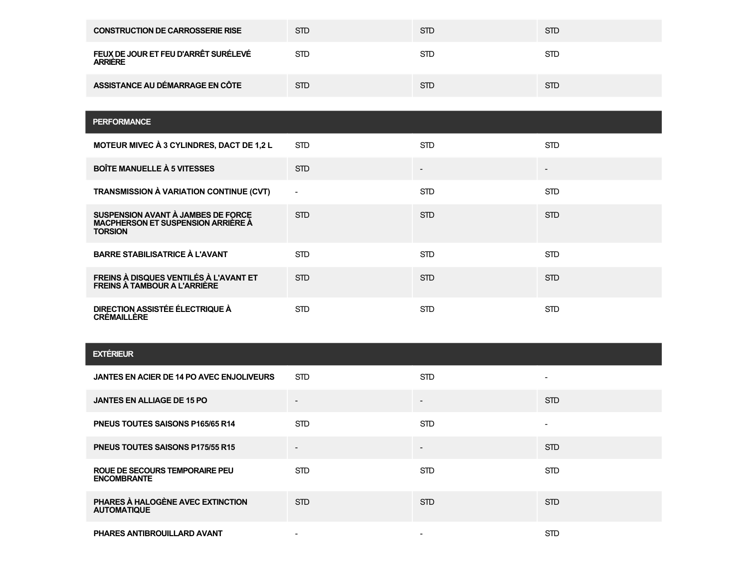| <b>CONSTRUCTION DE CARROSSERIE RISE</b>                | <b>STD</b> | <b>STD</b> | <b>STD</b> |
|--------------------------------------------------------|------------|------------|------------|
| FEUX DE JOUR ET FEU D'ARRÊT SURÉLEVÉ<br><b>ARRIERE</b> | <b>STD</b> | <b>STD</b> | <b>STD</b> |
| ASSISTANCE AU DÉMARRAGE EN CÔTE                        | <b>STD</b> | <b>STD</b> | <b>STD</b> |

| <b>PERFORMANCE</b>                                                                                |            |                          |            |
|---------------------------------------------------------------------------------------------------|------------|--------------------------|------------|
| MOTEUR MIVEC À 3 CYLINDRES, DACT DE 1,2 L                                                         | <b>STD</b> | <b>STD</b>               | <b>STD</b> |
| <b>BOÎTE MANUELLE À 5 VITESSES</b>                                                                | <b>STD</b> | $\overline{\phantom{0}}$ |            |
| TRANSMISSION À VARIATION CONTINUE (CVT)                                                           |            | <b>STD</b>               | <b>STD</b> |
| SUSPENSION AVANT À JAMBES DE FORCE<br><b>MACPHERSON ET SUSPENSION ARRIERE A</b><br><b>TORSION</b> | <b>STD</b> | <b>STD</b>               | <b>STD</b> |
| <b>BARRE STABILISATRICE À L'AVANT</b>                                                             | <b>STD</b> | <b>STD</b>               | <b>STD</b> |
| FREINS À DISQUES VENTILÉS À L'AVANT ET<br><b>FREINS À TAMBOUR A L'ARRIÈRE</b>                     | <b>STD</b> | <b>STD</b>               | <b>STD</b> |
| DIRECTION ASSISTÉE ÉLECTRIQUE À<br><b>CRÉMAILLÈRE</b>                                             | <b>STD</b> | <b>STD</b>               | <b>STD</b> |

## **EXTÉRIEUR**

| JANTES EN ACIER DE 14 PO AVEC ENJOLIVEURS               | <b>STD</b>               | <b>STD</b>               | $\overline{\phantom{a}}$ |
|---------------------------------------------------------|--------------------------|--------------------------|--------------------------|
| <b>JANTES EN ALLIAGE DE 15 PO</b>                       | $\overline{\phantom{a}}$ | $\overline{\phantom{a}}$ | <b>STD</b>               |
| <b>PNEUS TOUTES SAISONS P165/65 R14</b>                 | <b>STD</b>               | <b>STD</b>               | $\overline{\phantom{a}}$ |
| <b>PNEUS TOUTES SAISONS P175/55 R15</b>                 | $\overline{\phantom{a}}$ | -                        | STD.                     |
| ROUE DE SECOURS TEMPORAIRE PEU<br><b>ENCOMBRANTE</b>    | <b>STD</b>               | <b>STD</b>               | STD.                     |
| PHARES À HALOGÈNE AVEC EXTINCTION<br><b>AUTOMATIQUE</b> | <b>STD</b>               | <b>STD</b>               | STD.                     |
| PHARES ANTIBROUILLARD AVANT                             |                          | $\overline{\phantom{a}}$ | <b>STD</b>               |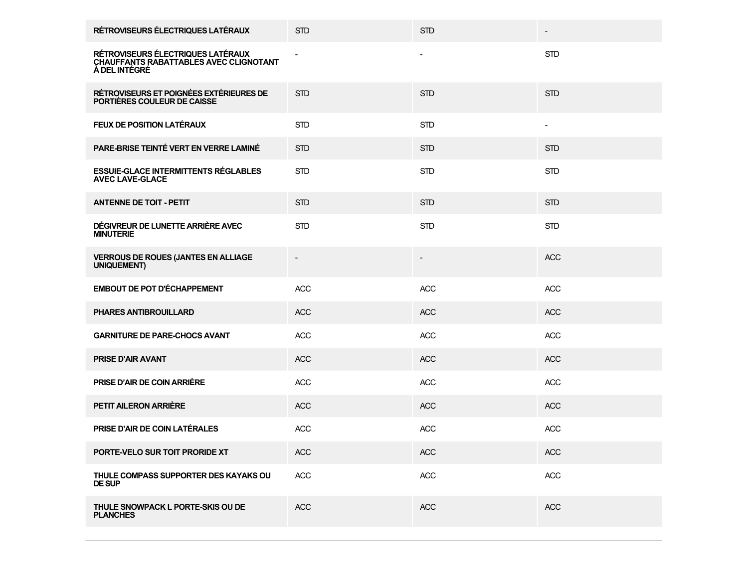| RÉTROVISEURS ÉLECTRIQUES LATÉRAUX                                                                   | <b>STD</b> | <b>STD</b> |            |
|-----------------------------------------------------------------------------------------------------|------------|------------|------------|
| RÉTROVISEURS ÉLECTRIQUES LATÉRAUX<br><b>CHAUFFANTS RABATTABLES AVEC CLIGNOTANT</b><br>À DEL INTÉGRÉ |            |            | <b>STD</b> |
| RÉTROVISEURS ET POIGNÉES EXTÉRIEURES DE<br>PORTIÈRES COULEUR DE CAISSE                              | <b>STD</b> | <b>STD</b> | <b>STD</b> |
| <b>FEUX DE POSITION LATÉRAUX</b>                                                                    | <b>STD</b> | <b>STD</b> |            |
| PARE-BRISE TEINTÉ VERT EN VERRE LAMINÉ                                                              | <b>STD</b> | <b>STD</b> | <b>STD</b> |
| <b>ESSUIE-GLACE INTERMITTENTS RÉGLABLES</b><br><b>AVEC LAVE-GLACE</b>                               | <b>STD</b> | <b>STD</b> | <b>STD</b> |
| <b>ANTENNE DE TOIT - PETIT</b>                                                                      | <b>STD</b> | <b>STD</b> | <b>STD</b> |
| DÉGIVREUR DE LUNETTE ARRIÈRE AVEC<br><b>MINUTERIE</b>                                               | <b>STD</b> | <b>STD</b> | <b>STD</b> |
| <b>VERROUS DE ROUES (JANTES EN ALLIAGE<br/>UNIQUEMENT)</b>                                          |            |            | <b>ACC</b> |
| <b>EMBOUT DE POT D'ÉCHAPPEMENT</b>                                                                  | <b>ACC</b> | <b>ACC</b> | <b>ACC</b> |
| PHARES ANTIBROUILLARD                                                                               | <b>ACC</b> | <b>ACC</b> | <b>ACC</b> |
| <b>GARNITURE DE PARE-CHOCS AVANT</b>                                                                | <b>ACC</b> | <b>ACC</b> | <b>ACC</b> |
| <b>PRISE D'AIR AVANT</b>                                                                            | ACC        | <b>ACC</b> | <b>ACC</b> |
| <b>PRISE D'AIR DE COIN ARRIÈRE</b>                                                                  | <b>ACC</b> | <b>ACC</b> | <b>ACC</b> |
| PETIT AILERON ARRIÈRE                                                                               | <b>ACC</b> | <b>ACC</b> | <b>ACC</b> |
| PRISE D'AIR DE COIN LATÉRALES                                                                       | <b>ACC</b> | <b>ACC</b> | <b>ACC</b> |
| PORTE-VELO SUR TOIT PRORIDE XT                                                                      | ACC        | <b>ACC</b> | ACC        |
| THULE COMPASS SUPPORTER DES KAYAKS OU<br><b>DE SUP</b>                                              | ACC        | ACC        | ACC        |
| THULE SNOWPACK L PORTE-SKIS OU DE<br><b>PLANCHES</b>                                                | <b>ACC</b> | <b>ACC</b> | ACC        |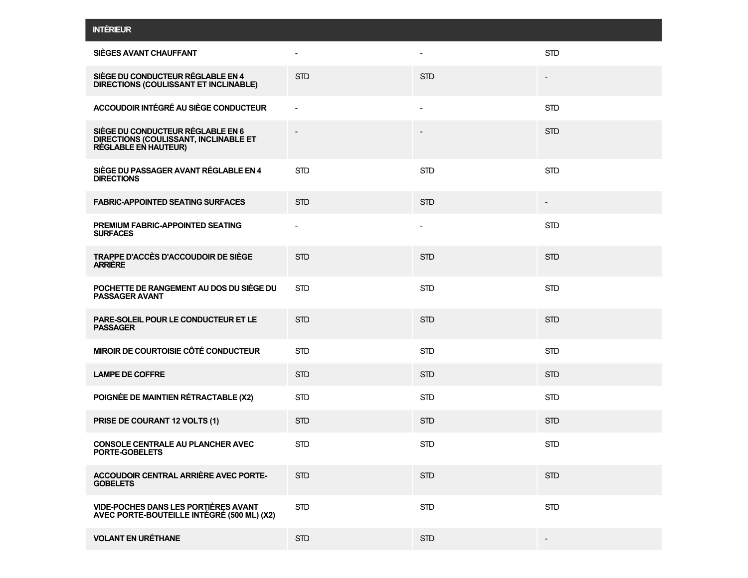|  | <b>INTERIEUR</b> |  |
|--|------------------|--|

| SIÈGES AVANT CHAUFFANT                                                                             |                          |                          | <b>STD</b> |
|----------------------------------------------------------------------------------------------------|--------------------------|--------------------------|------------|
| SIÈGE DU CONDUCTEUR RÉGLABLE EN 4<br>DIRECTIONS (COULISSANT ET INCLINABLE)                         | <b>STD</b>               | <b>STD</b>               |            |
| ACCOUDOIR INTÉGRÉ AU SIÈGE CONDUCTEUR                                                              |                          | $\overline{\phantom{a}}$ | <b>STD</b> |
| SIÈGE DU CONDUCTEUR RÉGLABLE EN 6<br>DIRECTIONS (COULISSANT, INCLINABLE ET<br>RÉGLABLE EN HAUTEUR) |                          |                          | <b>STD</b> |
| SIÈGE DU PASSAGER AVANT RÉGLABLE EN 4<br><b>DIRECTIONS</b>                                         | <b>STD</b>               | <b>STD</b>               | <b>STD</b> |
| <b>FABRIC-APPOINTED SEATING SURFACES</b>                                                           | <b>STD</b>               | <b>STD</b>               |            |
| <b>PREMIUM FABRIC-APPOINTED SEATING</b><br><b>SURFACES</b>                                         | $\overline{\phantom{a}}$ |                          | <b>STD</b> |
| TRAPPE D'ACCÈS D'ACCOUDOIR DE SIÈGE<br><b>ARRIERE</b>                                              | <b>STD</b>               | <b>STD</b>               | <b>STD</b> |
| POCHETTE DE RANGEMENT AU DOS DU SIÈGE DU<br><b>PASSAGER AVANT</b>                                  | <b>STD</b>               | <b>STD</b>               | <b>STD</b> |
| PARE-SOLEIL POUR LE CONDUCTEUR ET LE<br><b>PASSAGER</b>                                            | <b>STD</b>               | <b>STD</b>               | <b>STD</b> |
| MIROIR DE COURTOISIE CÔTÉ CONDUCTEUR                                                               | <b>STD</b>               | <b>STD</b>               | <b>STD</b> |
| <b>LAMPE DE COFFRE</b>                                                                             | <b>STD</b>               | <b>STD</b>               | <b>STD</b> |
| POIGNÉE DE MAINTIEN RÉTRACTABLE (X2)                                                               | <b>STD</b>               | <b>STD</b>               | <b>STD</b> |
| PRISE DE COURANT 12 VOLTS (1)                                                                      | <b>STD</b>               | <b>STD</b>               | <b>STD</b> |
| <b>CONSOLE CENTRALE AU PLANCHER AVEC</b><br>PORTE-GOBELETS                                         | <b>STD</b>               | <b>STD</b>               | <b>STD</b> |
| ACCOUDOIR CENTRAL ARRIÈRE AVEC PORTE-<br><b>GOBELETS</b>                                           | <b>STD</b>               | <b>STD</b>               | <b>STD</b> |
| <b>VIDE-POCHES DANS LES PORTIÈRES AVANT</b><br>AVEC PORTE-BOUTEILLE INTÉGRÉ (500 ML) (X2)          | <b>STD</b>               | <b>STD</b>               | STD        |
| <b>VOLANT EN URÉTHANE</b>                                                                          | <b>STD</b>               | <b>STD</b>               |            |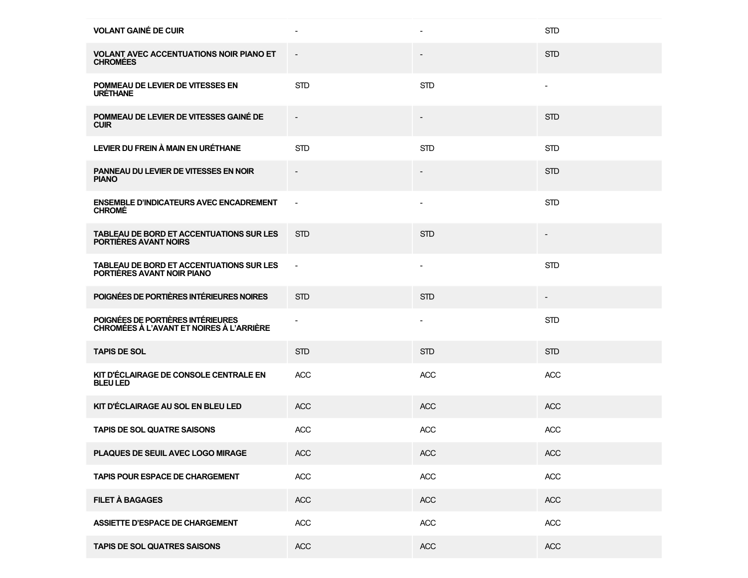| <b>VOLANT GAINÉ DE CUIR</b>                                                   | $\overline{\phantom{a}}$ |                          | <b>STD</b>               |
|-------------------------------------------------------------------------------|--------------------------|--------------------------|--------------------------|
| <b>VOLANT AVEC ACCENTUATIONS NOIR PIANO ET</b><br><b>CHROMEES</b>             | $\overline{\phantom{a}}$ |                          | <b>STD</b>               |
| POMMEAU DE LEVIER DE VITESSES EN<br><b>URETHANE</b>                           | <b>STD</b>               | <b>STD</b>               | $\overline{\phantom{a}}$ |
| POMMEAU DE LEVIER DE VITESSES GAINÉ DE<br><b>CUIR</b>                         |                          |                          | <b>STD</b>               |
| LEVIER DU FREIN À MAIN EN URÉTHANE                                            | <b>STD</b>               | <b>STD</b>               | <b>STD</b>               |
| PANNEAU DU LEVIER DE VITESSES EN NOIR<br><b>PIANO</b>                         |                          |                          | <b>STD</b>               |
| <b>ENSEMBLE D'INDICATEURS AVEC ENCADREMENT</b><br><b>CHROMÉ</b>               | $\blacksquare$           |                          | <b>STD</b>               |
| TABLEAU DE BORD ET ACCENTUATIONS SUR LES<br>PORTIÈRES AVANT NOIRS             | <b>STD</b>               | <b>STD</b>               |                          |
| TABLEAU DE BORD ET ACCENTUATIONS SUR LES<br>PORTIÈRES AVANT NOIR PIANO        | ÷,                       | $\blacksquare$           | <b>STD</b>               |
| POIGNÉES DE PORTIÈRES INTÉRIEURES NOIRES                                      | <b>STD</b>               | <b>STD</b>               | $\overline{\phantom{a}}$ |
| POIGNÉES DE PORTIÈRES INTÉRIEURES<br>CHROMÉES À L'AVANT ET NOIRES À L'ARRIÈRE |                          | $\overline{\phantom{a}}$ | <b>STD</b>               |
| <b>TAPIS DE SOL</b>                                                           | <b>STD</b>               | <b>STD</b>               | <b>STD</b>               |
| KIT D'ÉCLAIRAGE DE CONSOLE CENTRALE EN<br><b>BLEU LED</b>                     | <b>ACC</b>               | <b>ACC</b>               | <b>ACC</b>               |
| KIT D'ÉCLAIRAGE AU SOL EN BLEU LED                                            | <b>ACC</b>               | <b>ACC</b>               | <b>ACC</b>               |
| <b>TAPIS DE SOL QUATRE SAISONS</b>                                            | <b>ACC</b>               | <b>ACC</b>               | <b>ACC</b>               |
| PLAQUES DE SEUIL AVEC LOGO MIRAGE                                             | <b>ACC</b>               | <b>ACC</b>               | ACC                      |
| <b>TAPIS POUR ESPACE DE CHARGEMENT</b>                                        | <b>ACC</b>               | ACC                      | ACC                      |
| <b>FILET À BAGAGES</b>                                                        | ACC                      | <b>ACC</b>               | ACC                      |
| <b>ASSIETTE D'ESPACE DE CHARGEMENT</b>                                        | <b>ACC</b>               | <b>ACC</b>               | ACC                      |
| <b>TAPIS DE SOL QUATRES SAISONS</b>                                           | ACC                      | <b>ACC</b>               | ACC                      |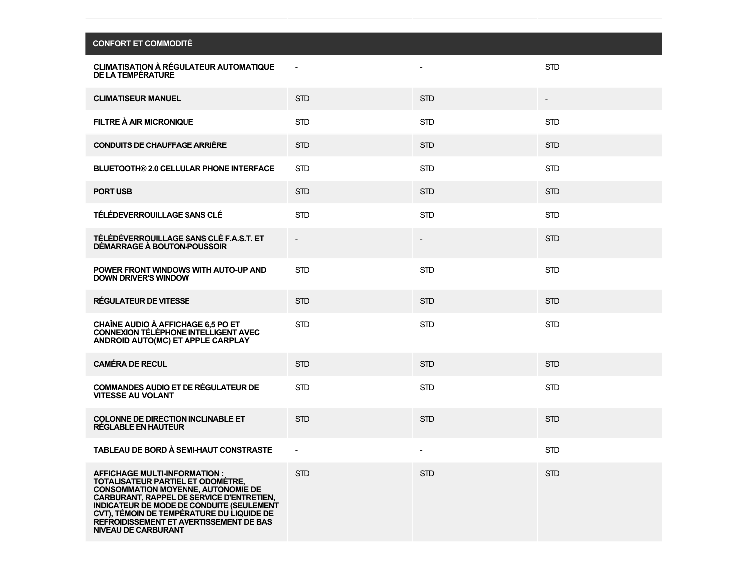| <b>CONFORT ET COMMODITE</b>                                                                                                                                                                                                                                                                                    |                |                |            |
|----------------------------------------------------------------------------------------------------------------------------------------------------------------------------------------------------------------------------------------------------------------------------------------------------------------|----------------|----------------|------------|
| <b>CLIMATISATION A REGULATEUR AUTOMATIQUE</b><br>DE LA TEMPÉRATURE                                                                                                                                                                                                                                             |                |                | <b>STD</b> |
| <b>CLIMATISEUR MANUEL</b>                                                                                                                                                                                                                                                                                      | <b>STD</b>     | <b>STD</b>     |            |
| FILTRE À AIR MICRONIQUE                                                                                                                                                                                                                                                                                        | <b>STD</b>     | <b>STD</b>     | <b>STD</b> |
| <b>CONDUITS DE CHAUFFAGE ARRIÈRE</b>                                                                                                                                                                                                                                                                           | <b>STD</b>     | <b>STD</b>     | <b>STD</b> |
| <b>BLUETOOTH® 2.0 CELLULAR PHONE INTERFACE</b>                                                                                                                                                                                                                                                                 | <b>STD</b>     | <b>STD</b>     | <b>STD</b> |
| <b>PORT USB</b>                                                                                                                                                                                                                                                                                                | <b>STD</b>     | <b>STD</b>     | <b>STD</b> |
| TÉLÉDEVERROUILLAGE SANS CLÉ                                                                                                                                                                                                                                                                                    | <b>STD</b>     | <b>STD</b>     | <b>STD</b> |
| TÉLÉDÉVERROUILLAGE SANS CLÉ F.A.S.T. ET<br>DÉMARRAGE À BOUTON-POUSSOIR                                                                                                                                                                                                                                         | $\overline{a}$ | $\overline{a}$ | <b>STD</b> |
| POWER FRONT WINDOWS WITH AUTO-UP AND<br><b>DOWN DRIVER'S WINDOW</b>                                                                                                                                                                                                                                            | <b>STD</b>     | <b>STD</b>     | <b>STD</b> |
| RÉGULATEUR DE VITESSE                                                                                                                                                                                                                                                                                          | <b>STD</b>     | <b>STD</b>     | <b>STD</b> |
| <b>CHAÎNE AUDIO À AFFICHAGE 6.5 PO ET</b><br>CONNEXION TÉLÉPHONE INTELLIGENT AVEC<br>ANDROID AUTO(MC) ET APPLE CARPLAY                                                                                                                                                                                         | <b>STD</b>     | <b>STD</b>     | <b>STD</b> |
| <b>CAMÉRA DE RECUL</b>                                                                                                                                                                                                                                                                                         | <b>STD</b>     | <b>STD</b>     | <b>STD</b> |
| <b>COMMANDES AUDIO ET DE RÉGULATEUR DE</b><br><b>VITESSE AU VOLANT</b>                                                                                                                                                                                                                                         | <b>STD</b>     | <b>STD</b>     | <b>STD</b> |
| <b>COLONNE DE DIRECTION INCLINABLE ET</b><br><b>RÉGLABLE EN HAUTEUR</b>                                                                                                                                                                                                                                        | <b>STD</b>     | <b>STD</b>     | <b>STD</b> |
| TABLEAU DE BORD À SEMI-HAUT CONSTRASTE                                                                                                                                                                                                                                                                         |                |                | <b>STD</b> |
| <b>AFFICHAGE MULTI-INFORMATION:</b><br>TOTALISATEUR PARTIEL ET ODOMÈTRE,<br><b>CONSOMMATION MOYENNE, AUTONOMIE DE</b><br>CARBURANT, RAPPEL DE SERVICE D'ENTRETIEN,<br><b>INDICATEUR DE MODE DE CONDUITE (SEULEMENT</b><br>CVT), TÉMOIN DE TEMPÉRATURE DU LIQUIDE DE<br>REFROIDISSEMENT ET AVERTISSEMENT DE BAS | <b>STD</b>     | <b>STD</b>     | <b>STD</b> |

**NIVEAU DE CARBURANT**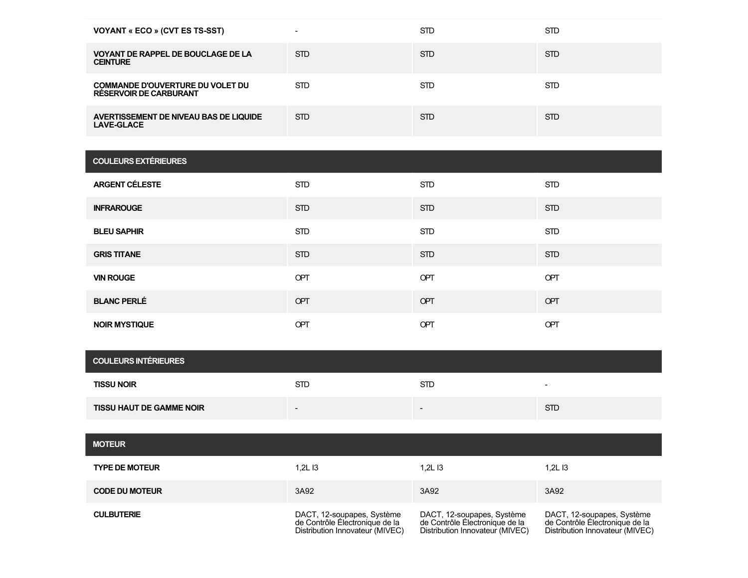| <b>VOYANT « ECO » (CVT ES TS-SST)</b>                                    | -          | <b>STD</b> | <b>STD</b> |
|--------------------------------------------------------------------------|------------|------------|------------|
| <b>VOYANT DE RAPPEL DE BOUCLAGE DE LA</b><br><b>CEINTURE</b>             | STD.       | <b>STD</b> | <b>STD</b> |
| <b>COMMANDE D'OUVERTURE DU VOLET DU</b><br><b>RESERVOIR DE CARBURANT</b> | STD.       | <b>STD</b> | <b>STD</b> |
| AVERTISSEMENT DE NIVEAU BAS DE LIQUIDE<br><b>LAVE-GLACE</b>              | <b>STD</b> | <b>STD</b> | <b>STD</b> |

| <b>COULEURS EXTÉRIEURES</b> |            |            |            |
|-----------------------------|------------|------------|------------|
| <b>ARGENT CÉLESTE</b>       | <b>STD</b> | <b>STD</b> | <b>STD</b> |
| <b>INFRAROUGE</b>           | <b>STD</b> | <b>STD</b> | <b>STD</b> |
| <b>BLEU SAPHIR</b>          | <b>STD</b> | <b>STD</b> | <b>STD</b> |
| <b>GRIS TITANE</b>          | <b>STD</b> | <b>STD</b> | <b>STD</b> |
| <b>VIN ROUGE</b>            | OPT        | OPT        | OPT        |
| <b>BLANC PERLÉ</b>          | OPT        | OPT        | OPT        |
| <b>NOIR MYSTIQUE</b>        | OPT        | OPT        | OPT        |

| <b>COULEURS INTÉRIEURES</b>     |            |            |                          |  |
|---------------------------------|------------|------------|--------------------------|--|
| <b>TISSU NOIR</b>               | <b>STD</b> | <b>STD</b> | $\overline{\phantom{0}}$ |  |
| <b>TISSU HAUT DE GAMME NOIR</b> | $\sim$     | $\sim$     | <b>STD</b>               |  |

| <b>MOTEUR</b>         |                                                                                                 |                                                                                                 |                                                                                                 |
|-----------------------|-------------------------------------------------------------------------------------------------|-------------------------------------------------------------------------------------------------|-------------------------------------------------------------------------------------------------|
| <b>TYPE DE MOTEUR</b> | 1.2L I3                                                                                         | 1.2L13                                                                                          | 1.2L I3                                                                                         |
| <b>CODE DU MOTEUR</b> | 3A92                                                                                            | 3A92                                                                                            | 3A92                                                                                            |
| <b>CULBUTERIE</b>     | DACT, 12-soupapes, Système<br>de Contrôle Électronique de la<br>Distribution Innovateur (MIVEC) | DACT, 12-soupapes, Système<br>de Contrôle Électronique de la<br>Distribution Innovateur (MIVEC) | DACT, 12-soupapes, Système<br>de Contrôle Électronique de la<br>Distribution Innovateur (MIVEC) |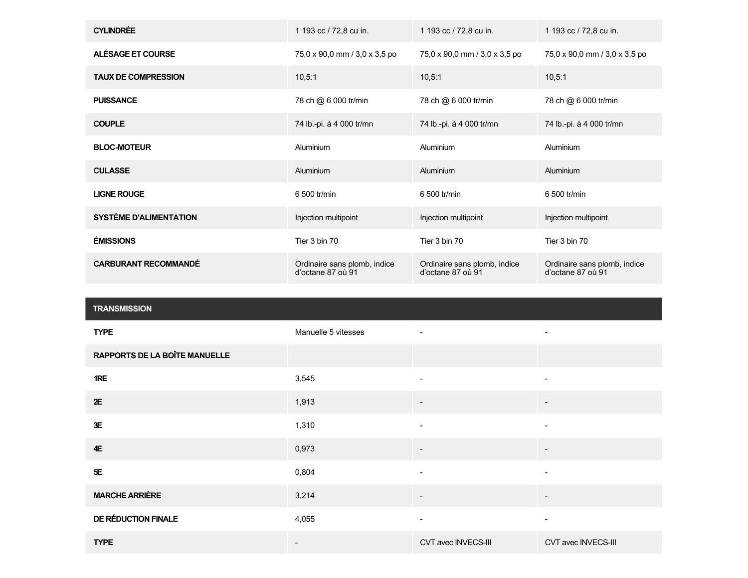| <b>CYLINDRÉE</b>            | 1 193 cc / 72,8 cu in.                            | 1 193 cc / 72,8 cu in.                            | 1 193 cc / 72,8 cu in.                            |
|-----------------------------|---------------------------------------------------|---------------------------------------------------|---------------------------------------------------|
| ALÉSAGE ET COURSE           | 75,0 x 90,0 mm / 3,0 x 3,5 po                     | 75,0 x 90,0 mm / 3,0 x 3,5 po                     | 75,0 x 90,0 mm / 3,0 x 3,5 po                     |
| <b>TAUX DE COMPRESSION</b>  | 10.5:1                                            | 10,5:1                                            | 10,5:1                                            |
| <b>PUISSANCE</b>            | 78 ch @ 6 000 tr/min                              | 78 ch @ 6 000 tr/min                              | 78 ch @ 6 000 tr/min                              |
| <b>COUPLE</b>               | 74 lb.-pi. à 4 000 tr/mn                          | 74 lb.-pi. à 4 000 tr/mn                          | 74 lb.-pi. à 4 000 tr/mn                          |
| <b>BLOC-MOTEUR</b>          | Aluminium                                         | Aluminium                                         | Aluminium                                         |
| <b>CULASSE</b>              | Aluminium                                         | Aluminium                                         | Aluminium                                         |
| <b>LIGNE ROUGE</b>          | 6 500 tr/min                                      | 6 500 tr/min                                      | 6 500 tr/min                                      |
| SYSTÈME D'ALIMENTATION      | Injection multipoint                              | Injection multipoint                              | Injection multipoint                              |
| <b>ÉMISSIONS</b>            | Tier 3 bin 70                                     | Tier 3 bin 70                                     | Tier 3 bin 70                                     |
| <b>CARBURANT RECOMMANDÉ</b> | Ordinaire sans plomb, indice<br>d'octane 87 où 91 | Ordinaire sans plomb, indice<br>d'octane 87 où 91 | Ordinaire sans plomb, indice<br>d'octane 87 où 91 |

| <b>TRANSMISSION</b>                  |                     |                          |                          |
|--------------------------------------|---------------------|--------------------------|--------------------------|
| <b>TYPE</b>                          | Manuelle 5 vitesses | ÷.                       | $\blacksquare$           |
| <b>RAPPORTS DE LA BOÎTE MANUELLE</b> |                     |                          |                          |
| 1RE                                  | 3,545               | $\blacksquare$           |                          |
| 2E                                   | 1,913               |                          |                          |
| 3E                                   | 1,310               | ۰                        |                          |
| 4E                                   | 0,973               | $\overline{\phantom{a}}$ | $\overline{\phantom{0}}$ |
| $5\!\mathsf{E}$                      | 0,804               | $\overline{\phantom{a}}$ | -                        |
| <b>MARCHE ARRIÈRE</b>                | 3,214               |                          |                          |
| DE RÉDUCTION FINALE                  | 4,055               | $\overline{\phantom{a}}$ | $\overline{\phantom{a}}$ |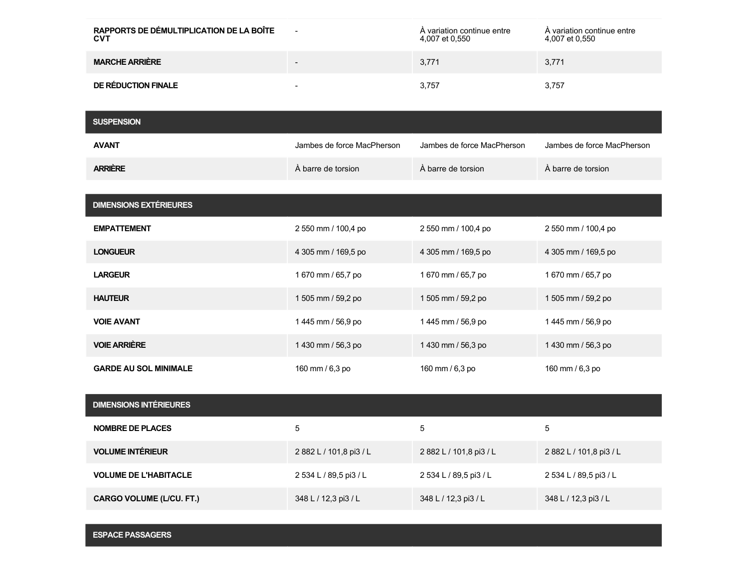| RAPPORTS DE DÉMULTIPLICATION DE LA BOÎTE<br><b>CVT</b> | -      | A variation continue entre<br>4,007 et 0,550 | A variation continue entre<br>4,007 et 0,550 |
|--------------------------------------------------------|--------|----------------------------------------------|----------------------------------------------|
| <b>MARCHE ARRIÈRE</b>                                  | $\sim$ | 3,771                                        | 3,771                                        |
| DE RÉDUCTION FINALE                                    | -      | 3.757                                        | 3.757                                        |

| <b>SUSPENSION</b>               |                            |                            |                            |
|---------------------------------|----------------------------|----------------------------|----------------------------|
| <b>AVANT</b>                    | Jambes de force MacPherson | Jambes de force MacPherson | Jambes de force MacPherson |
| <b>ARRIÈRE</b>                  | À barre de torsion         | À barre de torsion         | À barre de torsion         |
|                                 |                            |                            |                            |
| <b>DIMENSIONS EXTÉRIEURES</b>   |                            |                            |                            |
| <b>EMPATTEMENT</b>              | 2 550 mm / 100,4 po        | 2 550 mm / 100,4 po        | 2 550 mm / 100,4 po        |
| <b>LONGUEUR</b>                 | 4 305 mm / 169,5 po        | 4 305 mm / 169,5 po        | 4 305 mm / 169,5 po        |
| <b>LARGEUR</b>                  | 1 670 mm / 65,7 po         | 1 670 mm / 65,7 po         | 1 670 mm / 65,7 po         |
| <b>HAUTEUR</b>                  | 1 505 mm / 59,2 po         | 1 505 mm / 59,2 po         | 1 505 mm / 59,2 po         |
| <b>VOIE AVANT</b>               | 1 445 mm / 56,9 po         | 1 445 mm / 56,9 po         | 1 445 mm / 56,9 po         |
| <b>VOIE ARRIÈRE</b>             | 1 430 mm / 56,3 po         | 1 430 mm / 56,3 po         | 1 430 mm / 56,3 po         |
| <b>GARDE AU SOL MINIMALE</b>    | 160 mm / 6,3 po            | 160 mm / 6,3 po            | 160 mm / 6,3 po            |
|                                 |                            |                            |                            |
| <b>DIMENSIONS INTÉRIEURES</b>   |                            |                            |                            |
| <b>NOMBRE DE PLACES</b>         | 5                          | 5                          | 5                          |
| <b>VOLUME INTÉRIEUR</b>         | 2 882 L / 101,8 pi3 / L    | 2 882 L / 101,8 pi3 / L    | 2 882 L / 101,8 pi3 / L    |
| <b>VOLUME DE L'HABITACLE</b>    | 2 534 L / 89,5 pi3 / L     | 2 534 L / 89,5 pi3 / L     | 2 534 L / 89,5 pi3 / L     |
| <b>CARGO VOLUME (L/CU. FT.)</b> | 348 L / 12,3 pi3 / L       | 348 L / 12,3 pi3 / L       | 348 L / 12,3 pi3 / L       |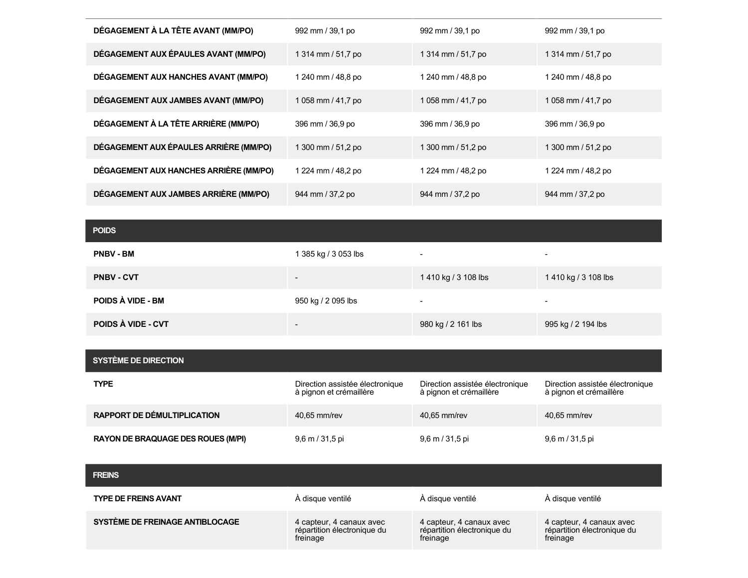| DÉGAGEMENT À LA TÊTE AVANT (MM/PO)     | 992 mm / 39.1 po   | 992 mm / 39,1 po   | 992 mm / 39,1 po   |
|----------------------------------------|--------------------|--------------------|--------------------|
| DÉGAGEMENT AUX ÉPAULES AVANT (MM/PO)   | 1 314 mm / 51,7 po | 1 314 mm / 51,7 po | 1 314 mm / 51,7 po |
| DÉGAGEMENT AUX HANCHES AVANT (MM/PO)   | 1 240 mm / 48.8 po | 1 240 mm / 48,8 po | 1 240 mm / 48,8 po |
| DÉGAGEMENT AUX JAMBES AVANT (MM/PO)    | 1058 mm / 41,7 po  | 1058 mm / 41,7 po  | 1 058 mm / 41,7 po |
| DÉGAGEMENT À LA TÊTE ARRIÈRE (MM/PO)   | 396 mm / 36,9 po   | 396 mm / 36,9 po   | 396 mm / 36,9 po   |
| DÉGAGEMENT AUX ÉPAULES ARRIÈRE (MM/PO) | 1 300 mm / 51,2 po | 1 300 mm / 51,2 po | 1 300 mm / 51,2 po |
| DÉGAGEMENT AUX HANCHES ARRIÈRE (MM/PO) | 1 224 mm / 48,2 po | 1 224 mm / 48,2 po | 1 224 mm / 48,2 po |
| DÉGAGEMENT AUX JAMBES ARRIÈRE (MM/PO)  | 944 mm / 37,2 po   | 944 mm / 37,2 po   | 944 mm / 37,2 po   |

## **POIDS**

| <b>PNBV - BM</b>   | 1 385 kg / 3 053 lbs     | $\overline{\phantom{0}}$ | $\overline{\phantom{a}}$ |
|--------------------|--------------------------|--------------------------|--------------------------|
| <b>PNBV - CVT</b>  | $\overline{\phantom{a}}$ | 1410 kg / 3 108 lbs      | 1 410 kg / 3 108 lbs     |
| POIDS À VIDE - BM  | 950 kg / 2 095 lbs       | $\overline{\phantom{0}}$ | $\overline{\phantom{0}}$ |
| POIDS À VIDE - CVT | $\overline{\phantom{a}}$ | 980 kg / 2 161 lbs       | 995 kg / 2 194 lbs       |

| <b>SYSTÈME DE DIRECTION</b>               |                                                            |                                                            |                                                            |
|-------------------------------------------|------------------------------------------------------------|------------------------------------------------------------|------------------------------------------------------------|
| <b>TYPE</b>                               | Direction assistée électronique<br>à pignon et crémaillère | Direction assistée électronique<br>à pignon et crémaillère | Direction assistée électronique<br>à pignon et crémaillère |
| <b>RAPPORT DE DÉMULTIPLICATION</b>        | 40.65 mm/rev                                               | 40.65 mm/rev                                               | 40.65 mm/rev                                               |
| <b>RAYON DE BRAQUAGE DES ROUES (M/PI)</b> | $9,6 \text{ m} / 31,5 \text{ pi}$                          | $9,6$ m / 31,5 pi                                          | 9,6 m / 31,5 pi                                            |

**FREINS**

| <b>TYPE DE FREINS AVANT</b>     | A disque ventilé            | A disque ventilé            | À disque ventilé            |
|---------------------------------|-----------------------------|-----------------------------|-----------------------------|
| SYSTÈME DE FREINAGE ANTIBLOCAGE | 4 capteur, 4 canaux avec    | 4 capteur, 4 canaux avec    | 4 capteur, 4 canaux avec    |
|                                 | répartition électronique du | répartition électronique du | répartition électronique du |
|                                 | freinage                    | freinage                    | freinage                    |